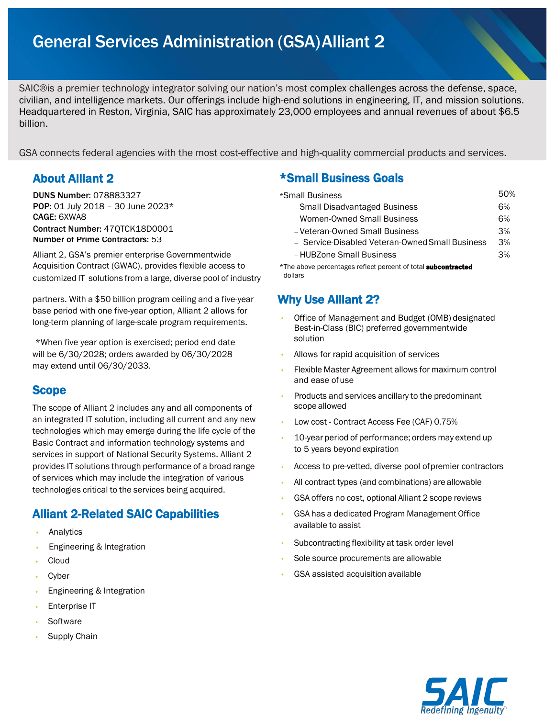# General Services Administration (GSA)Alliant 2

SAIC®is a premier technology integrator solving our nation's most complex challenges across the defense, space, civilian, and intelligence markets. Our offerings include high-end solutions in engineering, IT, and mission solutions. Headquartered in Reston, Virginia, SAIC has approximately 23,000 employees and annual revenues of about \$6.5 billion.

GSA connects federal agencies with the most cost-effective and high-quality commercial products and services.

Alliant 2, GSA's premier enterprise Governmentwide Acquisition Contract (GWAC), provides flexible access to \*The above percentages reflect percent of total **subcontracted** customized IT solutions from a large, diverse pool of industry dollars

partners. With a \$50 billion program ceiling and a five-year base period with one five-year option, Alliant 2 allows for long-term planning of large-scale program requirements.

\*When five year option is exercised; period end date will be 6/30/2028; orders awarded by 06/30/2028 may extend until 06/30/2033.

## **Scope**

The scope of Alliant 2 includes any and all components of an integrated IT solution, including all current and any new technologies which may emerge during the life cycle of the Basic Contract and information technology systems and services in support of National Security Systems. Alliant 2 provides IT solutions through performance of a broad range of services which may include the integration of various technologies critical to the services being acquired.

## Alliant 2-Related SAIC Capabilities

- **Analytics**
- Engineering & Integration
- Cloud
- **Cyber**
- Engineering & Integration
- **Enterprise IT**
- **Software**
- Supply Chain

### About Alliant 2 **\*Small Business Goals**

| <b>DUNS Number:</b> 078883327                      | *Small Business                                 | 50% |
|----------------------------------------------------|-------------------------------------------------|-----|
| <b>POP:</b> 01 July 2018 - 30 June 2023*           | -Small Disadvantaged Business                   | 6%  |
| <b>CAGE:</b> 6XWA8                                 | - Women-Owned Small Business                    | 6%  |
| <b>Contract Number: 470TCK18D0001</b>              | - Veteran-Owned Small Business                  | 3%  |
| <b>Number of Prime Contractors: 53</b>             | - Service-Disabled Veteran-Owned Small Business | 3%  |
| Alliant 2. GSA's premier enterprise Governmentwide | - HUBZone Small Business                        | 3%  |

## Why Use Alliant 2?

- Office of Management and Budget (OMB) designated Best-in-Class (BIC) preferred governmentwide solution
- Allows for rapid acquisition of services
- Flexible Master Agreement allows for maximum control and ease ofuse
- Products and services ancillary to the predominant scope allowed
- Low cost Contract Access Fee (CAF) 0.75%
- 10-year period of performance; orders may extend up to 5 years beyond expiration
- Access to pre-vetted, diverse pool ofpremier contractors
- All contract types (and combinations) are allowable
- GSA offers no cost, optional Alliant 2 scope reviews
- GSA has a dedicated Program Management Office available to assist
- Subcontracting flexibility at task order level
- Sole source procurements are allowable
- GSA assisted acquisition available